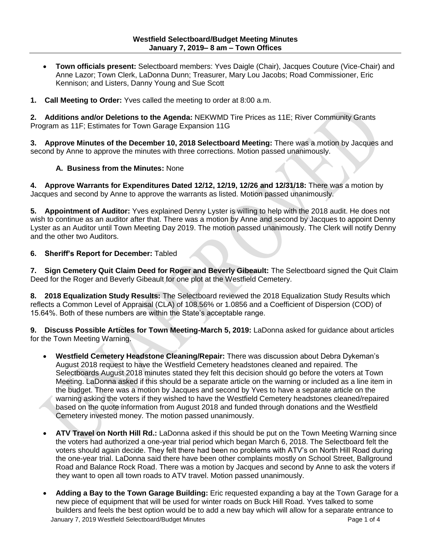**Town officials present:** Selectboard members: Yves Daigle (Chair), Jacques Couture (Vice-Chair) and Anne Lazor; Town Clerk, LaDonna Dunn; Treasurer, Mary Lou Jacobs; Road Commissioner, Eric Kennison; and Listers, Danny Young and Sue Scott

**1. Call Meeting to Order:** Yves called the meeting to order at 8:00 a.m.

**2. Additions and/or Deletions to the Agenda:** NEKWMD Tire Prices as 11E; River Community Grants Program as 11F; Estimates for Town Garage Expansion 11G

**3. Approve Minutes of the December 10, 2018 Selectboard Meeting:** There was a motion by Jacques and second by Anne to approve the minutes with three corrections. Motion passed unanimously.

## **A. Business from the Minutes:** None

**4. Approve Warrants for Expenditures Dated 12/12, 12/19, 12/26 and 12/31/18:** There was a motion by Jacques and second by Anne to approve the warrants as listed. Motion passed unanimously.

**5. Appointment of Auditor:** Yves explained Denny Lyster is willing to help with the 2018 audit. He does not wish to continue as an auditor after that. There was a motion by Anne and second by Jacques to appoint Denny Lyster as an Auditor until Town Meeting Day 2019. The motion passed unanimously. The Clerk will notify Denny and the other two Auditors.

## **6. Sheriff's Report for December:** Tabled

**7. Sign Cemetery Quit Claim Deed for Roger and Beverly Gibeault:** The Selectboard signed the Quit Claim Deed for the Roger and Beverly Gibeault for one plot at the Westfield Cemetery.

**8. 2018 Equalization Study Results:** The Selectboard reviewed the 2018 Equalization Study Results which reflects a Common Level of Appraisal (CLA) of 108.56% or 1.0856 and a Coefficient of Dispersion (COD) of 15.64%. Both of these numbers are within the State's acceptable range.

**9. Discuss Possible Articles for Town Meeting-March 5, 2019:** LaDonna asked for guidance about articles for the Town Meeting Warning.

- **Westfield Cemetery Headstone Cleaning/Repair:** There was discussion about Debra Dykeman's August 2018 request to have the Westfield Cemetery headstones cleaned and repaired. The Selectboards August 2018 minutes stated they felt this decision should go before the voters at Town Meeting. LaDonna asked if this should be a separate article on the warning or included as a line item in the budget. There was a motion by Jacques and second by Yves to have a separate article on the warning asking the voters if they wished to have the Westfield Cemetery headstones cleaned/repaired based on the quote information from August 2018 and funded through donations and the Westfield Cemetery invested money. The motion passed unanimously.
- **ATV Travel on North Hill Rd.:** LaDonna asked if this should be put on the Town Meeting Warning since the voters had authorized a one-year trial period which began March 6, 2018. The Selectboard felt the voters should again decide. They felt there had been no problems with ATV's on North Hill Road during the one-year trial. LaDonna said there have been other complaints mostly on School Street, Ballground Road and Balance Rock Road. There was a motion by Jacques and second by Anne to ask the voters if they want to open all town roads to ATV travel. Motion passed unanimously.
- January 7, 2019 Westfield Selectboard/Budget Minutes Page 1 of 4 **Adding a Bay to the Town Garage Building:** Eric requested expanding a bay at the Town Garage for a new piece of equipment that will be used for winter roads on Buck Hill Road. Yves talked to some builders and feels the best option would be to add a new bay which will allow for a separate entrance to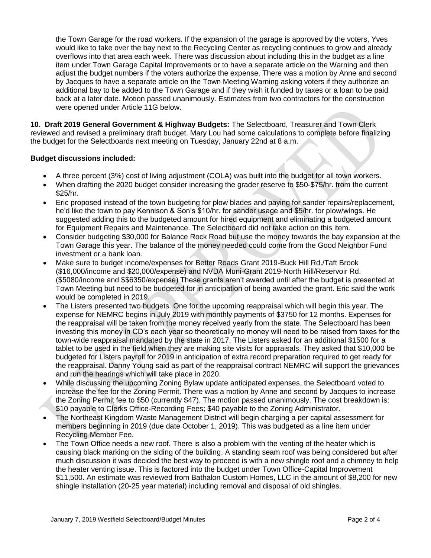the Town Garage for the road workers. If the expansion of the garage is approved by the voters, Yves would like to take over the bay next to the Recycling Center as recycling continues to grow and already overflows into that area each week. There was discussion about including this in the budget as a line item under Town Garage Capital Improvements or to have a separate article on the Warning and then adjust the budget numbers if the voters authorize the expense. There was a motion by Anne and second by Jacques to have a separate article on the Town Meeting Warning asking voters if they authorize an additional bay to be added to the Town Garage and if they wish it funded by taxes or a loan to be paid back at a later date. Motion passed unanimously. Estimates from two contractors for the construction were opened under Article 11G below.

**10. Draft 2019 General Government & Highway Budgets:** The Selectboard, Treasurer and Town Clerk reviewed and revised a preliminary draft budget. Mary Lou had some calculations to complete before finalizing the budget for the Selectboards next meeting on Tuesday, January 22nd at 8 a.m.

## **Budget discussions included:**

- A three percent (3%) cost of living adjustment (COLA) was built into the budget for all town workers.
- When drafting the 2020 budget consider increasing the grader reserve to \$50-\$75/hr. from the current \$25/hr.
- Eric proposed instead of the town budgeting for plow blades and paying for sander repairs/replacement, he'd like the town to pay Kennison & Son's \$10/hr. for sander usage and \$5/hr. for plow/wings. He suggested adding this to the budgeted amount for hired equipment and eliminating a budgeted amount for Equipment Repairs and Maintenance. The Selectboard did not take action on this item.
- Consider budgeting \$30,000 for Balance Rock Road but use the money towards the bay expansion at the Town Garage this year. The balance of the money needed could come from the Good Neighbor Fund investment or a bank loan.
- Make sure to budget income/expenses for Better Roads Grant 2019-Buck Hill Rd./Taft Brook (\$16,000/income and \$20,000/expense) and NVDA Muni-Grant 2019-North Hill/Reservoir Rd. (\$5080/income and \$\$6350/expense) These grants aren't awarded until after the budget is presented at Town Meeting but need to be budgeted for in anticipation of being awarded the grant. Eric said the work would be completed in 2019.
- The Listers presented two budgets. One for the upcoming reappraisal which will begin this year. The expense for NEMRC begins in July 2019 with monthly payments of \$3750 for 12 months. Expenses for the reappraisal will be taken from the money received yearly from the state. The Selectboard has been investing this money in CD's each year so theoretically no money will need to be raised from taxes for the town-wide reappraisal mandated by the state in 2017. The Listers asked for an additional \$1500 for a tablet to be used in the field when they are making site visits for appraisals. They asked that \$10,000 be budgeted for Listers payroll for 2019 in anticipation of extra record preparation required to get ready for the reappraisal. Danny Young said as part of the reappraisal contract NEMRC will support the grievances and run the hearings which will take place in 2020.
- While discussing the upcoming Zoning Bylaw update anticipated expenses, the Selectboard voted to increase the fee for the Zoning Permit. There was a motion by Anne and second by Jacques to increase the Zoning Permit fee to \$50 (currently \$47). The motion passed unanimously. The cost breakdown is: \$10 payable to Clerks Office-Recording Fees; \$40 payable to the Zoning Administrator.
- The Northeast Kingdom Waste Management District will begin charging a per capital assessment for members beginning in 2019 (due date October 1, 2019). This was budgeted as a line item under Recycling Member Fee.
- The Town Office needs a new roof. There is also a problem with the venting of the heater which is causing black marking on the siding of the building. A standing seam roof was being considered but after much discussion it was decided the best way to proceed is with a new shingle roof and a chimney to help the heater venting issue. This is factored into the budget under Town Office-Capital Improvement \$11,500. An estimate was reviewed from Bathalon Custom Homes, LLC in the amount of \$8,200 for new shingle installation (20-25 year material) including removal and disposal of old shingles.